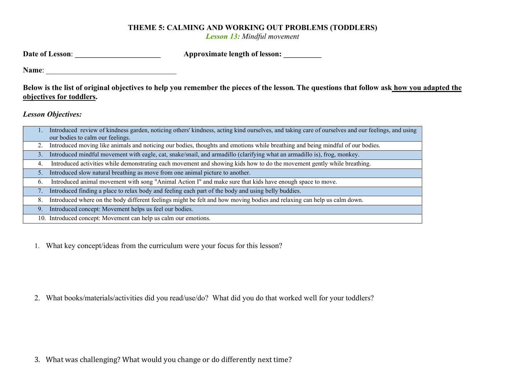## THEME 5: CALMING AND WORKING OUT PROBLEMS (TODDLERS)

Lesson 13: Mindful movement

| Date of Lesson: | <b>Approximate length of lesson:</b> |
|-----------------|--------------------------------------|
|-----------------|--------------------------------------|

Name: \_\_\_\_\_\_\_\_\_\_\_\_\_\_\_\_\_\_\_\_\_\_\_\_\_\_\_\_\_\_\_\_\_\_

Below is the list of original objectives to help you remember the pieces of the lesson. The questions that follow ask how you adapted the objectives for toddlers.

Lesson Objectives:

| Introduced review of kindness garden, noticing others' kindness, acting kind ourselves, and taking care of ourselves and our feelings, and using |
|--------------------------------------------------------------------------------------------------------------------------------------------------|
| our bodies to calm our feelings.                                                                                                                 |
| Introduced moving like animals and noticing our bodies, thoughts and emotions while breathing and being mindful of our bodies.                   |
| Introduced mindful movement with eagle, cat, snake/snail, and armadillo (clarifying what an armadillo is), frog, monkey.<br>3.                   |
| Introduced activities while demonstrating each movement and showing kids how to do the movement gently while breathing.<br>4.                    |
| Introduced slow natural breathing as move from one animal picture to another.<br>5.                                                              |
| Introduced animal movement with song "Animal Action I" and make sure that kids have enough space to move.<br>6.                                  |
| Introduced finding a place to relax body and feeling each part of the body and using belly buddies.<br>7.                                        |
| Introduced where on the body different feelings might be felt and how moving bodies and relaxing can help us calm down.<br>8.                    |
| Introduced concept: Movement helps us feel our bodies.<br>9.                                                                                     |
| 10. Introduced concept: Movement can help us calm our emotions.                                                                                  |

1. What key concept/ideas from the curriculum were your focus for this lesson?

2. What books/materials/activities did you read/use/do? What did you do that worked well for your toddlers?

3. What was challenging? What would you change or do differently next time?